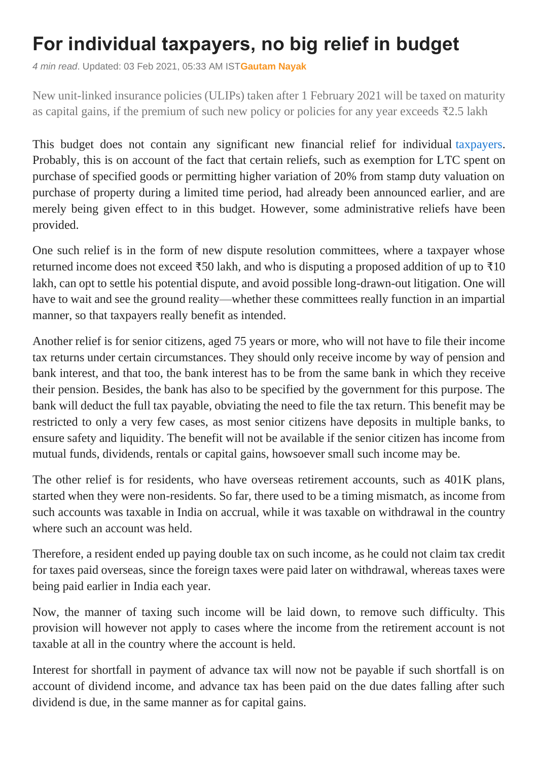## **For individual taxpayers, no big relief in budget**

*4 min read*. Updated: 03 Feb 2021, 05:33 AM IST**[Gautam Nayak](https://www.livemint.com/Search/Link/Author/Gautam-Nayak)**

New unit-linked insurance policies (ULIPs) taken after 1 February 2021 will be taxed on maturity as capital gains, if the premium of such new policy or policies for any year exceeds ₹2.5 lakh

This budget does not contain any significant new financial relief for individual [taxpayers.](https://www.livemint.com/budget/news/thirdparty-reporting-of-transactions-will-help-boost-tax-compliance-pc-mody-11612282296903.html) Probably, this is on account of the fact that certain reliefs, such as exemption for LTC spent on purchase of specified goods or permitting higher variation of 20% from stamp duty valuation on purchase of property during a limited time period, had already been announced earlier, and are merely being given effect to in this budget. However, some administrative reliefs have been provided.

One such relief is in the form of new dispute resolution committees, where a taxpayer whose returned income does not exceed  $\overline{50}0$  lakh, and who is disputing a proposed addition of up to  $\overline{510}$ lakh, can opt to settle his potential dispute, and avoid possible long-drawn-out litigation. One will have to wait and see the ground reality—whether these committees really function in an impartial manner, so that taxpayers really benefit as intended.

Another relief is for senior citizens, aged 75 years or more, who will not have to file their income tax returns under certain circumstances. They should only receive income by way of pension and bank interest, and that too, the bank interest has to be from the same bank in which they receive their pension. Besides, the bank has also to be specified by the government for this purpose. The bank will deduct the full tax payable, obviating the need to file the tax return. This benefit may be restricted to only a very few cases, as most senior citizens have deposits in multiple banks, to ensure safety and liquidity. The benefit will not be available if the senior citizen has income from mutual funds, dividends, rentals or capital gains, howsoever small such income may be.

The other relief is for residents, who have overseas retirement accounts, such as 401K plans, started when they were non-residents. So far, there used to be a timing mismatch, as income from such accounts was taxable in India on accrual, while it was taxable on withdrawal in the country where such an account was held.

Therefore, a resident ended up paying double tax on such income, as he could not claim tax credit for taxes paid overseas, since the foreign taxes were paid later on withdrawal, whereas taxes were being paid earlier in India each year.

Now, the manner of taxing such income will be laid down, to remove such difficulty. This provision will however not apply to cases where the income from the retirement account is not taxable at all in the country where the account is held.

Interest for shortfall in payment of advance tax will now not be payable if such shortfall is on account of dividend income, and advance tax has been paid on the due dates falling after such dividend is due, in the same manner as for capital gains.